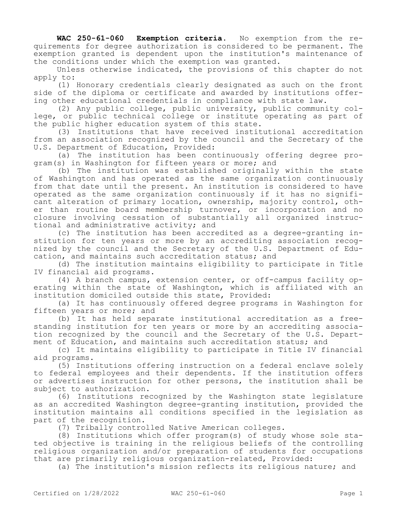**WAC 250-61-060 Exemption criteria.** No exemption from the requirements for degree authorization is considered to be permanent. The exemption granted is dependent upon the institution's maintenance of the conditions under which the exemption was granted.

Unless otherwise indicated, the provisions of this chapter do not apply to:

(1) Honorary credentials clearly designated as such on the front side of the diploma or certificate and awarded by institutions offering other educational credentials in compliance with state law.

(2) Any public college, public university, public community college, or public technical college or institute operating as part of the public higher education system of this state.

(3) Institutions that have received institutional accreditation from an association recognized by the council and the Secretary of the U.S. Department of Education, Provided:

(a) The institution has been continuously offering degree program(s) in Washington for fifteen years or more; and

(b) The institution was established originally within the state of Washington and has operated as the same organization continuously from that date until the present. An institution is considered to have operated as the same organization continuously if it has no significant alteration of primary location, ownership, majority control, other than routine board membership turnover, or incorporation and no closure involving cessation of substantially all organized instructional and administrative activity; and

(c) The institution has been accredited as a degree-granting institution for ten years or more by an accrediting association recognized by the council and the Secretary of the U.S. Department of Education, and maintains such accreditation status; and

(d) The institution maintains eligibility to participate in Title IV financial aid programs.

(4) A branch campus, extension center, or off-campus facility operating within the state of Washington, which is affiliated with an institution domiciled outside this state, Provided:

(a) It has continuously offered degree programs in Washington for fifteen years or more; and

(b) It has held separate institutional accreditation as a freestanding institution for ten years or more by an accrediting association recognized by the council and the Secretary of the U.S. Department of Education, and maintains such accreditation status; and

(c) It maintains eligibility to participate in Title IV financial aid programs.

(5) Institutions offering instruction on a federal enclave solely to federal employees and their dependents. If the institution offers or advertises instruction for other persons, the institution shall be subject to authorization.

(6) Institutions recognized by the Washington state legislature as an accredited Washington degree-granting institution, provided the institution maintains all conditions specified in the legislation as part of the recognition.

(7) Tribally controlled Native American colleges.

(8) Institutions which offer program(s) of study whose sole stated objective is training in the religious beliefs of the controlling religious organization and/or preparation of students for occupations that are primarily religious organization-related, Provided:

(a) The institution's mission reflects its religious nature; and